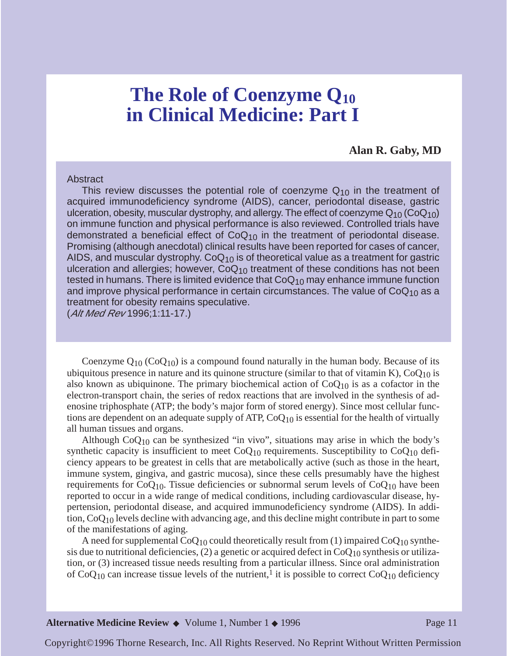# **The Role of Coenzyme Q10 in Clinical Medicine: Part I**

**Alan R. Gaby, MD**

#### Abstract

This review discusses the potential role of coenzyme  $Q_{10}$  in the treatment of acquired immunodeficiency syndrome (AIDS), cancer, periodontal disease, gastric ulceration, obesity, muscular dystrophy, and allergy. The effect of coenzyme  $Q_{10}$  (Co $Q_{10}$ ) on immune function and physical performance is also reviewed. Controlled trials have demonstrated a beneficial effect of  $CoQ_{10}$  in the treatment of periodontal disease. Promising (although anecdotal) clinical results have been reported for cases of cancer, AIDS, and muscular dystrophy.  $CoQ_{10}$  is of theoretical value as a treatment for gastric ulceration and allergies; however,  $CoQ<sub>10</sub>$  treatment of these conditions has not been tested in humans. There is limited evidence that  $CoQ_{10}$  may enhance immune function and improve physical performance in certain circumstances. The value of  $CoQ<sub>10</sub>$  as a treatment for obesity remains speculative.

(Alt Med Rev 1996;1:11-17.)

Coenzyme  $Q_{10}$  (Co $Q_{10}$ ) is a compound found naturally in the human body. Because of its ubiquitous presence in nature and its quinone structure (similar to that of vitamin K),  $CoQ_{10}$  is also known as ubiquinone. The primary biochemical action of  $CoQ_{10}$  is as a cofactor in the electron-transport chain, the series of redox reactions that are involved in the synthesis of adenosine triphosphate (ATP; the body's major form of stored energy). Since most cellular functions are dependent on an adequate supply of ATP,  $CoQ_{10}$  is essential for the health of virtually all human tissues and organs.

Although  $CoQ_{10}$  can be synthesized "in vivo", situations may arise in which the body's synthetic capacity is insufficient to meet  $CoQ<sub>10</sub>$  requirements. Susceptibility to  $CoQ<sub>10</sub>$  deficiency appears to be greatest in cells that are metabolically active (such as those in the heart, immune system, gingiva, and gastric mucosa), since these cells presumably have the highest requirements for  $CoQ_{10}$ . Tissue deficiencies or subnormal serum levels of  $CoQ_{10}$  have been reported to occur in a wide range of medical conditions, including cardiovascular disease, hypertension, periodontal disease, and acquired immunodeficiency syndrome (AIDS). In addition, CoQ10 levels decline with advancing age, and this decline might contribute in part to some of the manifestations of aging.

A need for supplemental  $CoQ_{10}$  could theoretically result from (1) impaired  $CoQ_{10}$  synthesis due to nutritional deficiencies,  $(2)$  a genetic or acquired defect in CoQ<sub>10</sub> synthesis or utilization, or (3) increased tissue needs resulting from a particular illness. Since oral administration of  $CoQ_{10}$  can increase tissue levels of the nutrient,<sup>1</sup> it is possible to correct  $CoQ_{10}$  deficiency

Copyright©1996 Thorne Research, Inc. All Rights Reserved. No Reprint Without Written Permission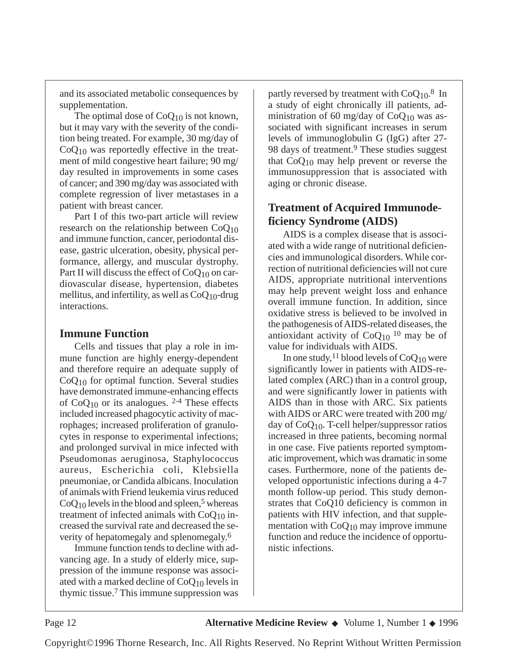and its associated metabolic consequences by supplementation.

The optimal dose of  $CoQ_{10}$  is not known, but it may vary with the severity of the condition being treated. For example, 30 mg/day of  $CoQ<sub>10</sub>$  was reportedly effective in the treatment of mild congestive heart failure; 90 mg/ day resulted in improvements in some cases of cancer; and 390 mg/day was associated with complete regression of liver metastases in a patient with breast cancer.

Part I of this two-part article will review research on the relationship between  $CoQ<sub>10</sub>$ and immune function, cancer, periodontal disease, gastric ulceration, obesity, physical performance, allergy, and muscular dystrophy. Part II will discuss the effect of  $CoQ_{10}$  on cardiovascular disease, hypertension, diabetes mellitus, and infertility, as well as  $CoQ<sub>10</sub>$ -drug interactions.

### **Immune Function**

Cells and tissues that play a role in immune function are highly energy-dependent and therefore require an adequate supply of  $CoQ<sub>10</sub>$  for optimal function. Several studies have demonstrated immune-enhancing effects of  $CoQ_{10}$  or its analogues. <sup>2-4</sup> These effects included increased phagocytic activity of macrophages; increased proliferation of granulocytes in response to experimental infections; and prolonged survival in mice infected with Pseudomonas aeruginosa, Staphylococcus aureus, Escherichia coli, Klebsiella pneumoniae, or Candida albicans. Inoculation of animals with Friend leukemia virus reduced  $CoQ<sub>10</sub>$  levels in the blood and spleen,<sup>5</sup> whereas treatment of infected animals with  $CoQ<sub>10</sub>$  increased the survival rate and decreased the severity of hepatomegaly and splenomegaly.6

Immune function tends to decline with advancing age. In a study of elderly mice, suppression of the immune response was associated with a marked decline of  $CoQ_{10}$  levels in thymic tissue.7 This immune suppression was partly reversed by treatment with  $CoQ<sub>10</sub>$ .<sup>8</sup> In a study of eight chronically ill patients, administration of 60 mg/day of  $CoQ_{10}$  was associated with significant increases in serum levels of immunoglobulin G (IgG) after 27- 98 days of treatment.<sup>9</sup> These studies suggest that  $CoQ_{10}$  may help prevent or reverse the immunosuppression that is associated with aging or chronic disease.

# **Treatment of Acquired Immunodeficiency Syndrome (AIDS)**

AIDS is a complex disease that is associated with a wide range of nutritional deficiencies and immunological disorders. While correction of nutritional deficiencies will not cure AIDS, appropriate nutritional interventions may help prevent weight loss and enhance overall immune function. In addition, since oxidative stress is believed to be involved in the pathogenesis of AIDS-related diseases, the antioxidant activity of  $CoQ<sub>10</sub>$  10 may be of value for individuals with AIDS.

In one study,<sup>11</sup> blood levels of  $CoQ_{10}$  were significantly lower in patients with AIDS-related complex (ARC) than in a control group, and were significantly lower in patients with AIDS than in those with ARC. Six patients with AIDS or ARC were treated with 200 mg/ day of  $CoQ_{10}$ . T-cell helper/suppressor ratios increased in three patients, becoming normal in one case. Five patients reported symptomatic improvement, which was dramatic in some cases. Furthermore, none of the patients developed opportunistic infections during a 4-7 month follow-up period. This study demonstrates that CoQ10 deficiency is common in patients with HIV infection, and that supplementation with  $CoQ_{10}$  may improve immune function and reduce the incidence of opportunistic infections.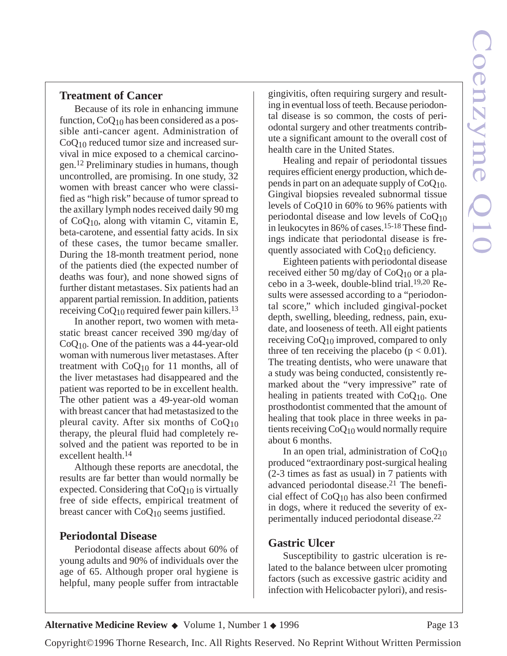#### **Treatment of Cancer**

Because of its role in enhancing immune function,  $CoQ_{10}$  has been considered as a possible anti-cancer agent. Administration of CoQ10 reduced tumor size and increased survival in mice exposed to a chemical carcinogen.12 Preliminary studies in humans, though uncontrolled, are promising. In one study, 32 women with breast cancer who were classified as "high risk" because of tumor spread to the axillary lymph nodes received daily 90 mg of  $CoQ<sub>10</sub>$ , along with vitamin C, vitamin E, beta-carotene, and essential fatty acids. In six of these cases, the tumor became smaller. During the 18-month treatment period, none of the patients died (the expected number of deaths was four), and none showed signs of further distant metastases. Six patients had an apparent partial remission. In addition, patients receiving  $CoQ_{10}$  required fewer pain killers.<sup>13</sup>

In another report, two women with metastatic breast cancer received 390 mg/day of CoQ10. One of the patients was a 44-year-old woman with numerous liver metastases. After treatment with  $CoQ_{10}$  for 11 months, all of the liver metastases had disappeared and the patient was reported to be in excellent health. The other patient was a 49-year-old woman with breast cancer that had metastasized to the pleural cavity. After six months of  $CoQ<sub>10</sub>$ therapy, the pleural fluid had completely resolved and the patient was reported to be in excellent health.14

Although these reports are anecdotal, the results are far better than would normally be expected. Considering that  $CoQ_{10}$  is virtually free of side effects, empirical treatment of breast cancer with  $CoQ_{10}$  seems justified.

#### **Periodontal Disease**

Periodontal disease affects about 60% of young adults and 90% of individuals over the age of 65. Although proper oral hygiene is helpful, many people suffer from intractable gingivitis, often requiring surgery and resulting in eventual loss of teeth. Because periodontal disease is so common, the costs of periodontal surgery and other treatments contribute a significant amount to the overall cost of health care in the United States.

Healing and repair of periodontal tissues requires efficient energy production, which depends in part on an adequate supply of  $CoQ<sub>10</sub>$ . Gingival biopsies revealed subnormal tissue levels of CoQ10 in 60% to 96% patients with periodontal disease and low levels of  $CoQ<sub>10</sub>$ in leukocytes in 86% of cases.15-18 These findings indicate that periodontal disease is frequently associated with  $CoQ_{10}$  deficiency.

Eighteen patients with periodontal disease received either 50 mg/day of  $CoQ_{10}$  or a placebo in a 3-week, double-blind trial.19,20 Results were assessed according to a "periodontal score," which included gingival-pocket depth, swelling, bleeding, redness, pain, exudate, and looseness of teeth. All eight patients receiving CoQ10 improved, compared to only three of ten receiving the placebo ( $p < 0.01$ ). The treating dentists, who were unaware that a study was being conducted, consistently remarked about the "very impressive" rate of healing in patients treated with  $CoQ<sub>10</sub>$ . One prosthodontist commented that the amount of healing that took place in three weeks in patients receiving  $CoQ_{10}$  would normally require about 6 months.

In an open trial, administration of  $CoQ<sub>10</sub>$ produced "extraordinary post-surgical healing (2-3 times as fast as usual) in 7 patients with advanced periodontal disease.21 The beneficial effect of  $CoQ_{10}$  has also been confirmed in dogs, where it reduced the severity of experimentally induced periodontal disease.22

# **Gastric Ulcer**

Susceptibility to gastric ulceration is related to the balance between ulcer promoting factors (such as excessive gastric acidity and infection with Helicobacter pylori), and resis-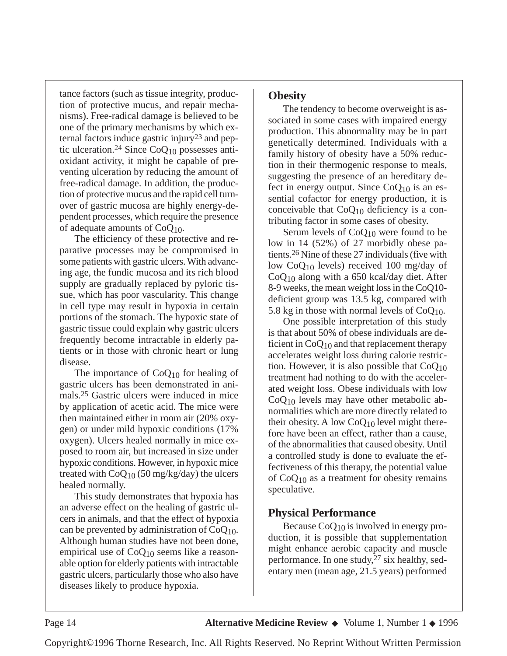tance factors (such as tissue integrity, production of protective mucus, and repair mechanisms). Free-radical damage is believed to be one of the primary mechanisms by which external factors induce gastric injury23 and peptic ulceration.<sup>24</sup> Since  $CoQ<sub>10</sub>$  possesses antioxidant activity, it might be capable of preventing ulceration by reducing the amount of free-radical damage. In addition, the production of protective mucus and the rapid cell turnover of gastric mucosa are highly energy-dependent processes, which require the presence of adequate amounts of CoQ10.

The efficiency of these protective and reparative processes may be compromised in some patients with gastric ulcers. With advancing age, the fundic mucosa and its rich blood supply are gradually replaced by pyloric tissue, which has poor vascularity. This change in cell type may result in hypoxia in certain portions of the stomach. The hypoxic state of gastric tissue could explain why gastric ulcers frequently become intractable in elderly patients or in those with chronic heart or lung disease.

The importance of  $CoQ_{10}$  for healing of gastric ulcers has been demonstrated in animals.25 Gastric ulcers were induced in mice by application of acetic acid. The mice were then maintained either in room air (20% oxygen) or under mild hypoxic conditions (17% oxygen). Ulcers healed normally in mice exposed to room air, but increased in size under hypoxic conditions. However, in hypoxic mice treated with  $CoQ_{10}$  (50 mg/kg/day) the ulcers healed normally.

This study demonstrates that hypoxia has an adverse effect on the healing of gastric ulcers in animals, and that the effect of hypoxia can be prevented by administration of  $CoQ<sub>10</sub>$ . Although human studies have not been done, empirical use of CoQ10 seems like a reasonable option for elderly patients with intractable gastric ulcers, particularly those who also have diseases likely to produce hypoxia.

#### **Obesity**

The tendency to become overweight is associated in some cases with impaired energy production. This abnormality may be in part genetically determined. Individuals with a family history of obesity have a 50% reduction in their thermogenic response to meals, suggesting the presence of an hereditary defect in energy output. Since  $CoQ<sub>10</sub>$  is an essential cofactor for energy production, it is conceivable that  $CoO<sub>10</sub>$  deficiency is a contributing factor in some cases of obesity.

Serum levels of  $CoQ_{10}$  were found to be low in 14 (52%) of 27 morbidly obese patients.26 Nine of these 27 individuals (five with low CoQ10 levels) received 100 mg/day of  $CoQ<sub>10</sub>$  along with a 650 kcal/day diet. After 8-9 weeks, the mean weight loss in the CoQ10 deficient group was 13.5 kg, compared with 5.8 kg in those with normal levels of  $CoQ<sub>10</sub>$ .

One possible interpretation of this study is that about 50% of obese individuals are deficient in  $CoQ_{10}$  and that replacement therapy accelerates weight loss during calorie restriction. However, it is also possible that CoQ10 treatment had nothing to do with the accelerated weight loss. Obese individuals with low  $CoQ<sub>10</sub>$  levels may have other metabolic abnormalities which are more directly related to their obesity. A low  $CoQ_{10}$  level might therefore have been an effect, rather than a cause, of the abnormalities that caused obesity. Until a controlled study is done to evaluate the effectiveness of this therapy, the potential value of  $CoQ_{10}$  as a treatment for obesity remains speculative.

# **Physical Performance**

Because CoQ10 is involved in energy production, it is possible that supplementation might enhance aerobic capacity and muscle performance. In one study,27 six healthy, sedentary men (mean age, 21.5 years) performed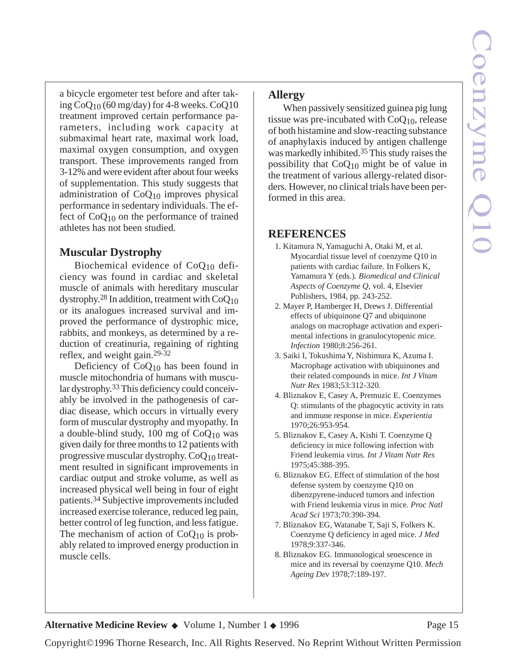a bicycle ergometer test before and after taking  $CoQ_{10}$  (60 mg/day) for 4-8 weeks.  $CoQ10$ treatment improved certain performance parameters, including work capacity at submaximal heart rate, maximal work load, maximal oxygen consumption, and oxygen transport. These improvements ranged from 3-12% and were evident after about four weeks of supplementation. This study suggests that administration of CoQ10 improves physical performance in sedentary individuals. The effect of  $CoQ_{10}$  on the performance of trained athletes has not been studied.

# **Muscular Dystrophy**

Biochemical evidence of CoQ10 deficiency was found in cardiac and skeletal muscle of animals with hereditary muscular dystrophy.28 In addition, treatment with CoQ10 or its analogues increased survival and improved the performance of dystrophic mice, rabbits, and monkeys, as determined by a reduction of creatinuria, regaining of righting reflex, and weight gain.29-32

Deficiency of  $CoO<sub>10</sub>$  has been found in muscle mitochondria of humans with muscular dystrophy.33This deficiency could conceivably be involved in the pathogenesis of cardiac disease, which occurs in virtually every form of muscular dystrophy and myopathy. In a double-blind study,  $100 \text{ mg of } CoO_{10}$  was given daily for three months to 12 patients with progressive muscular dystrophy. CoQ10 treatment resulted in significant improvements in cardiac output and stroke volume, as well as increased physical well being in four of eight patients.34 Subjective improvements included increased exercise tolerance, reduced leg pain, better control of leg function, and less fatigue. The mechanism of action of  $CoQ<sub>10</sub>$  is probably related to improved energy production in muscle cells.

# **Allergy**

When passively sensitized guinea pig lung tissue was pre-incubated with  $CoQ<sub>10</sub>$ , release of both histamine and slow-reacting substance of anaphylaxis induced by antigen challenge was markedly inhibited.35 This study raises the possibility that  $CoQ_{10}$  might be of value in the treatment of various allergy-related disorders. However, no clinical trials have been performed in this area.

# **REFERENCES**

- 1. Kitamura N, Yamaguchi A, Otaki M, et al. Myocardial tissue level of coenzyme Q10 in patients with cardiac failure. In Folkers K, Yamamura Y (eds.). *Biomedical and Clinical Aspects of Coenzyme Q,* vol. 4, Elsevier Publishers, 1984, pp. 243-252.
- 2. Mayer P, Hamberger H, Drews J. Differential effects of ubiquinone Q7 and ubiquinone analogs on macrophage activation and experimental infections in granulocytopenic mice. *Infection* 1980;8:256-261.
- 3. Saiki I, Tokushima Y, Nishimura K, Azuma I. Macrophage activation with ubiquinones and their related compounds in mice. *Int J Vitam Nutr Res* 1983;53:312-320.
- 4. Bliznakov E, Casey A, Premuzic E. Coenzymes Q: stimulants of the phagocytic activity in rats and immune response in mice. *Experientia* 1970;26:953-954.
- 5. Bliznakov E, Casey A, Kishi T. Coenzyme Q deficiency in mice following infection with Friend leukemia virus*. Int J Vitam Nutr Res* 1975;45:388-395.
- 6. Bliznakov EG. Effect of stimulation of the host defense system by coenzyme Q10 on dibenzpyrene-induced tumors and infection with Friend leukemia virus in mice. *Proc Natl Acad Sci* 1973;70:390-394.
- 7. Bliznakov EG, Watanabe T, Saji S, Folkers K. Coenzyme Q deficiency in aged mice. *J Med* 1978;9:337-346.
- 8. Bliznakov EG. Immunological senescence in mice and its reversal by coenzyme Q10. *Mech Ageing Dev* 1978;7:189-197.

**Alternative Medicine Review ◆** Volume 1, Number 1 ◆ 1996 Page 15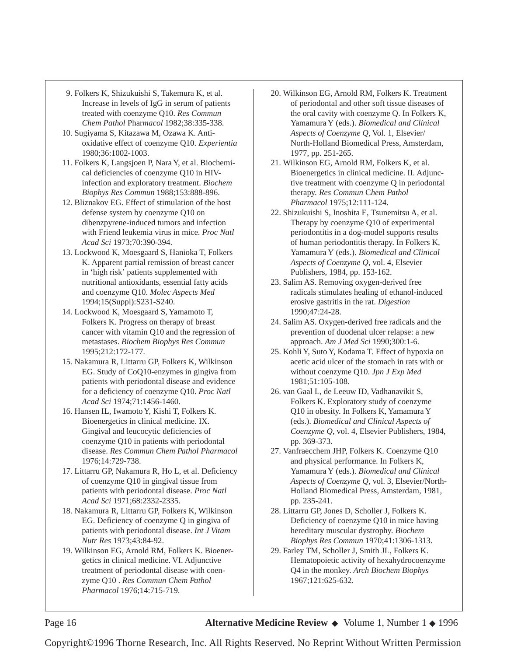- 9. Folkers K, Shizukuishi S, Takemura K, et al. Increase in levels of IgG in serum of patients treated with coenzyme Q10. *Res Commun Chem Pathol* Phar*macol* 1982;38:335-338.
- 10. Sugiyama S, Kitazawa M, Ozawa K. Antioxidative effect of coenzyme Q10. *Experientia* 1980;36:1002-1003.
- 11. Folkers K, Langsjoen P, Nara Y, et al. Biochemical deficiencies of coenzyme Q10 in HIVinfection and exploratory treatment. *Biochem Biophys Res Commun* 1988;153:888-896.
- 12. Bliznakov EG. Effect of stimulation of the host defense system by coenzyme Q10 on dibenzpyrene-induced tumors and infection with Friend leukemia virus in mice. *Proc Natl Acad Sci* 1973;70:390-394.
- 13. Lockwood K, Moesgaard S, Hanioka T, Folkers K. Apparent partial remission of breast cancer in 'high risk' patients supplemented with nutritional antioxidants, essential fatty acids and coenzyme Q10. *Molec Aspects Med* 1994;15(Suppl):S231-S240.
- 14. Lockwood K, Moesgaard S, Yamamoto T, Folkers K. Progress on therapy of breast cancer with vitamin Q10 and the regression of metastases. *Biochem Biophys Res Commun* 1995;212:172-177.
- 15. Nakamura R, Littarru GP, Folkers K, Wilkinson EG. Study of CoQ10-enzymes in gingiva from patients with periodontal disease and evidence for a deficiency of coenzyme Q10. *Proc Natl Acad Sci* 1974;71:1456-1460.
- 16. Hansen IL, Iwamoto Y, Kishi T, Folkers K. Bioenergetics in clinical medicine. IX. Gingival and leucocytic deficiencies of coenzyme Q10 in patients with periodontal disease. *Res Commun Chem Pathol Pharmacol* 1976;14:729-738.
- 17. Littarru GP, Nakamura R, Ho L, et al. Deficiency of coenzyme Q10 in gingival tissue from patients with periodontal disease. *Proc Natl Acad Sci* 1971;68:2332-2335.
- 18. Nakamura R, Littarru GP, Folkers K, Wilkinson EG. Deficiency of coenzyme Q in gingiva of patients with periodontal disease. *Int J Vitam Nutr Res* 1973;43:84-92.
- 19. Wilkinson EG, Arnold RM, Folkers K. Bioenergetics in clinical medicine. VI. Adjunctive treatment of periodontal disease with coenzyme Q10 . *Res Commun Chem Pathol Pharmacol* 1976;14:715-719.
- 20. Wilkinson EG, Arnold RM, Folkers K. Treatment of periodontal and other soft tissue diseases of the oral cavity with coenzyme Q. In Folkers K, Yamamura Y (eds.). *Biomedical and Clinical Aspects of Coenzyme Q*, Vol. 1, Elsevier/ North-Holland Biomedical Press, Amsterdam, 1977, pp. 251-265.
- 21. Wilkinson EG, Arnold RM, Folkers K, et al. Bioenergetics in clinical medicine. II. Adjunctive treatment with coenzyme Q in periodontal therapy. *Res Commun* C*hem Pathol Pharmacol* 1975;12:111-124.
- 22. Shizukuishi S, Inoshita E, Tsunemitsu A, et al. Therapy by coenzyme Q10 of experimental periodontitis in a dog-model supports results of human periodontitis therapy. In Folkers K, Yamamura Y (eds.). *Biomedical and Clinical Aspects of Coenzyme Q*, vol. 4, Elsevier Publishers, 1984, pp. 153-162.
- 23. Salim AS. Removing oxygen-derived free radicals stimulates healing of ethanol-induced erosive gastritis in the rat. *Digestion* 1990;47:24-28.
- 24. Salim AS. Oxygen-derived free radicals and the prevention of duodenal ulcer relapse: a new approach. *Am J Med Sci* 1990;300:1-6.
- 25. Kohli Y, Suto Y, Kodama T. Effect of hypoxia on acetic acid ulcer of the stomach in rats with or without coenzyme Q10. *Jpn J Exp Med* 1981;51:105-108.
- 26. van Gaal L, de Leeuw ID, Vadhanavikit S, Folkers K. Exploratory study of coenzyme Q10 in obesity. In Folkers K, Yamamura Y (eds.). *Biomedical and Clinical Aspects of Coenzyme Q*, vol. 4, Elsevier Publishers, 1984, pp. 369-373.
- 27. Vanfraecchem JHP, Folkers K. Coenzyme Q10 and physical performance. In Folkers K, Yamamura Y (eds.). *Biomedical and Clinical Aspects of Coenzyme Q*, vol. 3, Elsevier/North-Holland Biomedical Press, Amsterdam, 1981, pp. 235-241.
- 28. Littarru GP, Jones D, Scholler J, Folkers K. Deficiency of coenzyme Q10 in mice having hereditary muscular dystrophy. *Biochem Biophys Res Commun* 1970;41:1306-1313.
- 29. Farley TM, Scholler J, Smith JL, Folkers K. Hematopoietic activity of hexahydrocoenzyme Q4 in the monkey. *Arch Biochem Biophys* 1967;121:625-632.